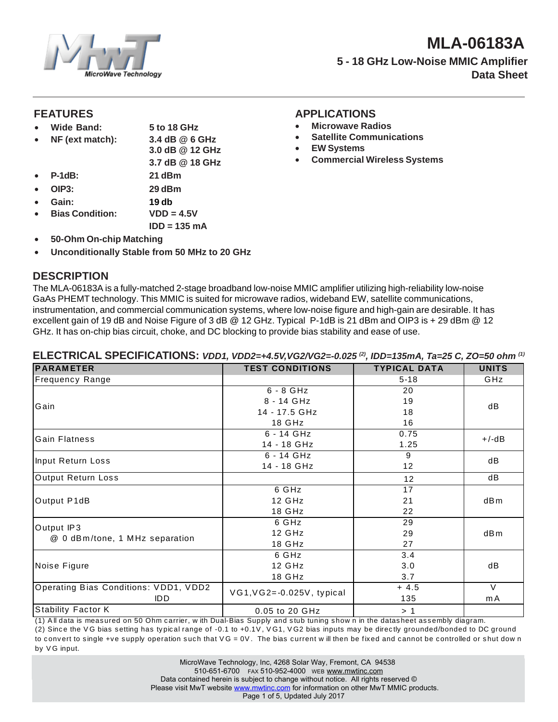

# **MLA-06183A 5 - 18 GHz Low-Noise MMIC Amplifier Data Sheet**

• **Microwave Radios**

• **EW Systems**

• **Satellite Communications**

• **Commercial Wireless Systems**

#### **FEATURES APPLICATIONS**

- **Wide Band: 5 to 18 GHz**
- **NF (ext match): 3.4 dB @ 6 GHz**
	- **3.0 dB @ 12 GHz**
- **3.7 dB @ 18 GHz**
- **P-1dB: 21 dBm**
- **OIP3: 29 dBm**
- Gain: 19 db<br>Bias Condition:  $VDD = 4.5V$
- $Bias$  Condition: **IDD = 135 mA**
- **50-Ohm On-chip Matching**
- **Unconditionally Stable from 50 MHz to 20 GHz**

# **DESCRIPTION**

The MLA-06183A is a fully-matched 2-stage broadband low-noise MMIC amplifier utilizing high-reliability low-noise GaAs PHEMT technology. This MMIC is suited for microwave radios, wideband EW, satellite communications, instrumentation, and commercial communication systems, where low-noise figure and high-gain are desirable. It has excellent gain of 19 dB and Noise Figure of 3 dB @ 12 GHz. Typical P-1dB is 21 dBm and OIP3 is + 29 dBm @ 12 GHz. It has on-chip bias circuit, choke, and DC blocking to provide bias stability and ease of use.

| <b>PARAMETER</b>                      | <b>TEST CONDITIONS</b>      | <b>TYPICAL DATA</b> | <b>UNITS</b>    |
|---------------------------------------|-----------------------------|---------------------|-----------------|
| <b>Frequency Range</b>                |                             | $5 - 18$            | GHz             |
| Gain                                  | $6 - 8$ GHz                 | 20                  | dB              |
|                                       | 8 - 14 GHz                  | 19                  |                 |
|                                       | 14 - 17.5 GHz               | 18                  |                 |
|                                       | 18 GHz                      | 16                  |                 |
| <b>Gain Flatness</b>                  | $6 - 14$ GHz                | 0.75                | $+/-dB$         |
|                                       | 14 - 18 GHz                 | 1.25                |                 |
| Input Return Loss                     | $6 - 14$ GHz                | 9                   | dB              |
|                                       | 14 - 18 GHz                 | 12                  |                 |
| Output Return Loss                    |                             | 12                  | dB              |
| Output P1dB                           | 6 GHz                       | 17                  |                 |
|                                       | 12 GHz                      | 21                  | dB <sub>m</sub> |
|                                       | 18 GHz                      | 22                  |                 |
| Output IP3                            | 6 GHz                       | 29                  |                 |
| @ 0 dBm/tone, 1 MHz separation        | 12 GHz                      | 29                  | dB <sub>m</sub> |
|                                       | 18 GHz                      | 27                  |                 |
| Noise Figure                          | 6 GHz                       | 3.4                 |                 |
|                                       | 12 GHz                      | 3.0                 | dB              |
|                                       | 18 GHz                      | 3.7                 |                 |
| Operating Bias Conditions: VDD1, VDD2 | $VG1,VG2=-0.025V$ , typical | $+4.5$              | $\vee$          |
| <b>IDD</b>                            |                             | 135                 | m A             |
| <b>Stability Factor K</b>             | 0.05 to 20 GHz              | >1                  |                 |
|                                       |                             |                     |                 |

#### **ELECTRICAL SPECIFICATIONS:** *VDD1, VDD2=+4.5V,VG2/VG2=-0.025 (2), IDD=135mA, Ta=25 C, ZO=50 ohm (1)*

(1) A ll data is meas ured on 50 Ohm c arrier, w ith Dual-Bias Supply and s tub tuning s how n in the datas heet as s embly diagram. (2) Since the VG bias setting has typical range of -0.1 to +0.1V, VG1, VG2 bias inputs may be directly grounded/bonded to DC ground to convert to single +ve supply operation such that  $VG = 0V$ . The bias current w ill then be fixed and cannot be controlled or shut dow n by VG input.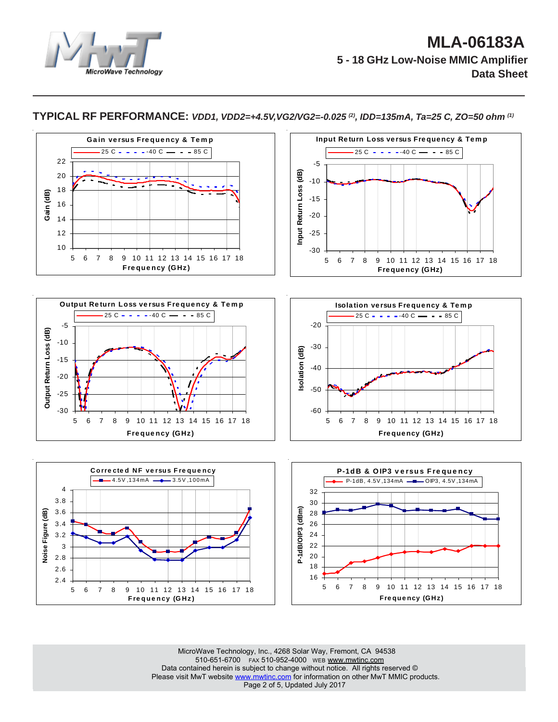



**TYPICAL RF PERFORMANCE:** *VDD1, VDD2=+4.5V,VG2/VG2=-0.025 (2), IDD=135mA, Ta=25 C, ZO=50 ohm (1)*

MicroWave Technology, Inc., 4268 Solar Way, Fremont, CA 94538 510-651-6700 FAX 510-952-4000 WEB www.mwtinc.com Data contained herein is subject to change without notice. All rights reserved © Please visit MwT website www.mwtinc.com for information on other MwT MMIC products. Page 2 of 5, Updated July 2017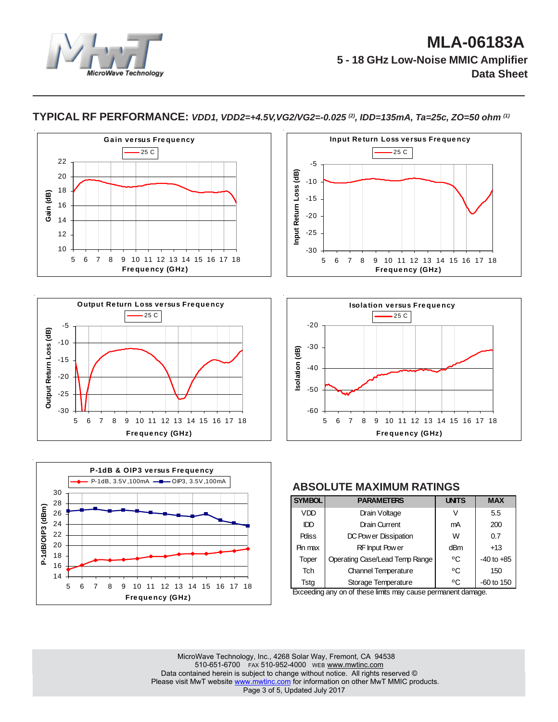

#### **TYPICAL RF PERFORMANCE:** *VDD1, VDD2=+4.5V,VG2/VG2=-0.025 (2), IDD=135mA, Ta=25c, ZO=50 ohm (1)*











#### **ABSOLUTE MAXIMUM RATINGS**

| <b>SYMBOL</b> | <b>PARAMETERS</b>                                                                                                                                                                                                                                                                                                                                                                                                                                                                   | <b>UNTS</b> | <b>MAX</b>     |
|---------------|-------------------------------------------------------------------------------------------------------------------------------------------------------------------------------------------------------------------------------------------------------------------------------------------------------------------------------------------------------------------------------------------------------------------------------------------------------------------------------------|-------------|----------------|
| <b>VDD</b>    | Drain Voltage                                                                                                                                                                                                                                                                                                                                                                                                                                                                       | V           | 5.5            |
| IDD           | <b>Drain Current</b>                                                                                                                                                                                                                                                                                                                                                                                                                                                                | mA          | 200            |
| <b>Pdiss</b>  | DC Pow er Dissipation                                                                                                                                                                                                                                                                                                                                                                                                                                                               | W           | 0.7            |
| Pin max       | RF Input Pow er                                                                                                                                                                                                                                                                                                                                                                                                                                                                     | dBm         | $+13$          |
| Toper         | Operating Case/Lead Temp Range                                                                                                                                                                                                                                                                                                                                                                                                                                                      | °C          | $-40$ to $+85$ |
| <b>Tch</b>    | <b>Channel Temperature</b>                                                                                                                                                                                                                                                                                                                                                                                                                                                          | °C          | 150            |
| Tsta          | Storage Temperature<br>$\mathcal{L} = \mathcal{L} = \mathcal{L} = \mathcal{L} = \mathcal{L} = \mathcal{L} = \mathcal{L} = \mathcal{L} = \mathcal{L} = \mathcal{L} = \mathcal{L} = \mathcal{L} = \mathcal{L} = \mathcal{L} = \mathcal{L} = \mathcal{L} = \mathcal{L} = \mathcal{L} = \mathcal{L} = \mathcal{L} = \mathcal{L} = \mathcal{L} = \mathcal{L} = \mathcal{L} = \mathcal{L} = \mathcal{L} = \mathcal{L} = \mathcal{L} = \mathcal{L} = \mathcal{L} = \mathcal{L} = \mathcal$ | °C          | $-60$ to 150   |

Exceeding any on of these limits may cause permanent damage.

MicroWave Technology, Inc., 4268 Solar Way, Fremont, CA 94538 510-651-6700 FAX 510-952-4000 WEB www.mwtinc.com Data contained herein is subject to change without notice. All rights reserved © Please visit MwT website www.mwtinc.com for information on other MwT MMIC products. Page 3 of 5, Updated July 2017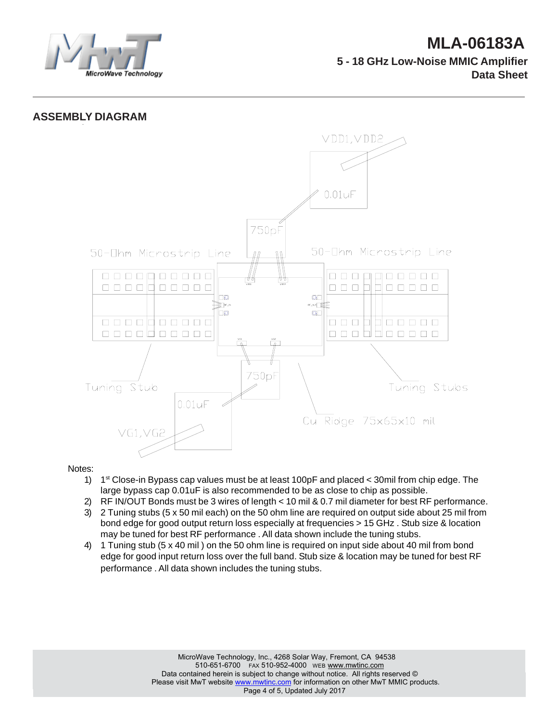

### **ASSEMBLY DIAGRAM**



#### Notes:

- 1) 1st Close-in Bypass cap values must be at least 100pF and placed < 30mil from chip edge. The large bypass cap 0.01uF is also recommended to be as close to chip as possible.
- 2) RF IN/OUT Bonds must be 3 wires of length < 10 mil & 0.7 mil diameter for best RF performance.
- 3) 2 Tuning stubs (5 x 50 mil each) on the 50 ohm line are required on output side about 25 mil from bond edge for good output return loss especially at frequencies > 15 GHz . Stub size & location may be tuned for best RF performance . All data shown include the tuning stubs.
- 4) 1 Tuning stub (5 x 40 mil ) on the 50 ohm line is required on input side about 40 mil from bond edge for good input return loss over the full band. Stub size & location may be tuned for best RF performance . All data shown includes the tuning stubs.